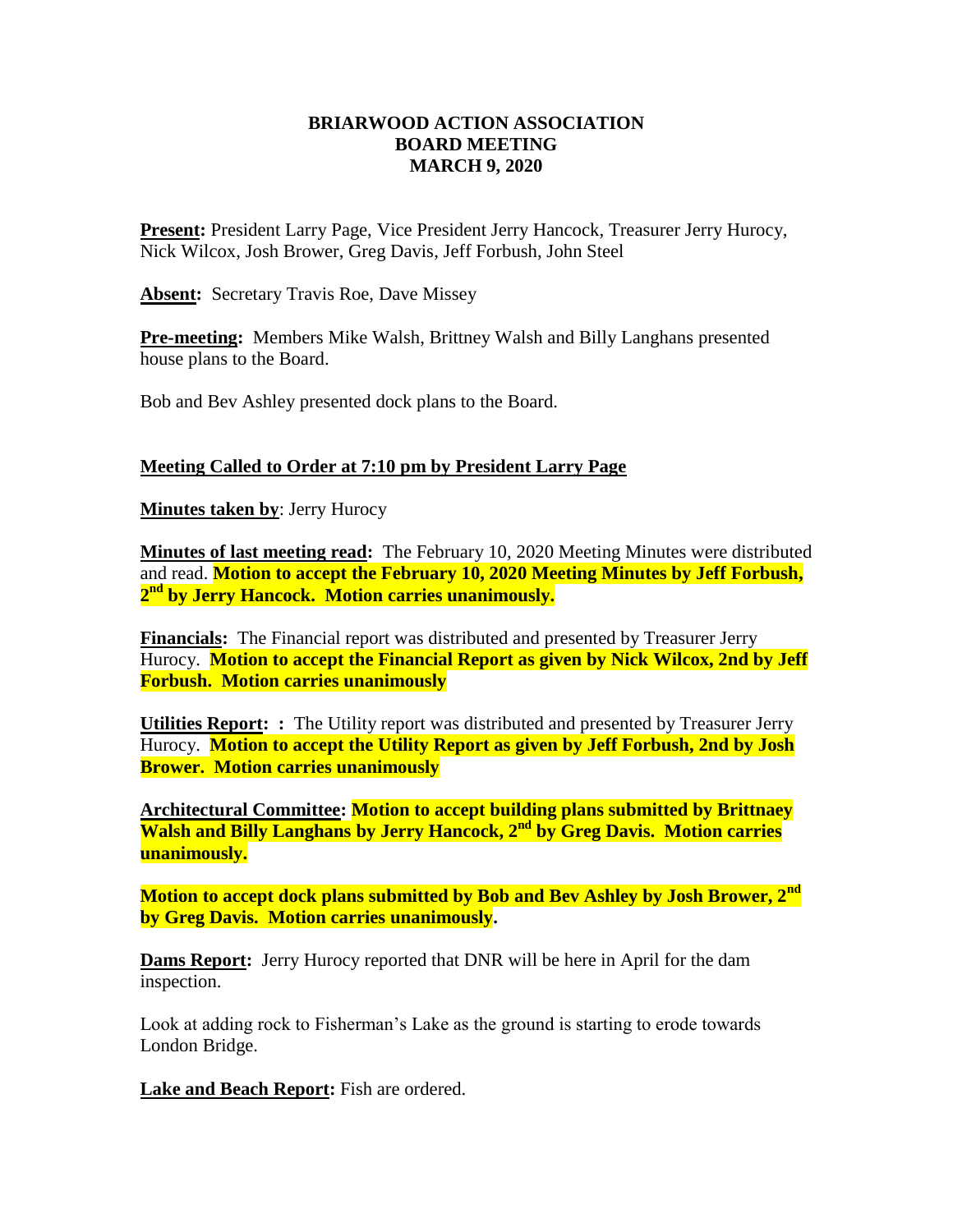## **BRIARWOOD ACTION ASSOCIATION BOARD MEETING MARCH 9, 2020**

**Present:** President Larry Page, Vice President Jerry Hancock, Treasurer Jerry Hurocy, Nick Wilcox, Josh Brower, Greg Davis, Jeff Forbush, John Steel

**Absent:** Secretary Travis Roe, Dave Missey

**Pre-meeting:** Members Mike Walsh, Brittney Walsh and Billy Langhans presented house plans to the Board.

Bob and Bev Ashley presented dock plans to the Board.

## **Meeting Called to Order at 7:10 pm by President Larry Page**

**Minutes taken by**: Jerry Hurocy

**Minutes of last meeting read:** The February 10, 2020 Meeting Minutes were distributed and read. **Motion to accept the February 10, 2020 Meeting Minutes by Jeff Forbush, 2 nd by Jerry Hancock. Motion carries unanimously.**

**Financials:** The Financial report was distributed and presented by Treasurer Jerry Hurocy. **Motion to accept the Financial Report as given by Nick Wilcox, 2nd by Jeff Forbush. Motion carries unanimously** 

**Utilities Report: :** The Utility report was distributed and presented by Treasurer Jerry Hurocy. **Motion to accept the Utility Report as given by Jeff Forbush, 2nd by Josh Brower. Motion carries unanimously** 

**Architectural Committee: Motion to accept building plans submitted by Brittnaey Walsh and Billy Langhans by Jerry Hancock, 2nd by Greg Davis. Motion carries unanimously.**

**Motion to accept dock plans submitted by Bob and Bev Ashley by Josh Brower, 2nd by Greg Davis. Motion carries unanimously.**

**Dams Report:** Jerry Hurocy reported that DNR will be here in April for the dam inspection.

Look at adding rock to Fisherman's Lake as the ground is starting to erode towards London Bridge.

**Lake and Beach Report:** Fish are ordered.